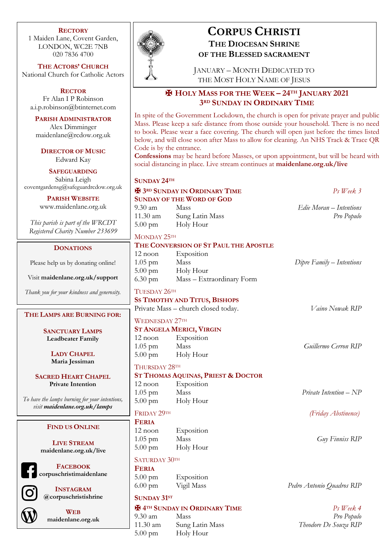#### **RECTORY**

1 Maiden Lane, Covent Garden, LONDON, WC2E 7NB 020 7836 4700

**THE ACTORS' CHURCH** National Church for Catholic Actors

**RECTOR** Fr Alan I P Robinson a.i.p.robinson@btinternet.com

**PARISH ADMINISTRATOR** Alex Dimminger maidenlane@rcdow.org.uk

**DIRECTOR OF MUSIC** Edward Kay

**SAFEGUARDING** Sabina Leigh coventgardensg@safeguardrcdow.org.uk

> **PARISH WEBSITE** www.maidenlane.org.uk

*This parish is part of the WRCDT Registered Charity Number 233699*

#### **DONATIONS**

Please help us by donating online!

Visit **maidenlane.org.uk/support**

*Thank you for your kindness and generosity.*

# **THE LAMPS ARE BURNING FOR:**

**SANCTUARY LAMPS Leadbeater Family**

> **LADY CHAPEL Maria Jessiman**

**SACRED HEART CHAPEL Private Intention**

*To have the lamps burning for your intentions, visit maidenlane.org.uk/lamps*

#### **FIND US ONLINE**

**LIVE STREAM maidenlane.org.uk/live**

**FACEBOOK corpuschristimaidenlane**



**INSTAGRAM @corpuschristishrine**



**WEB maidenlane.org.uk**



# **CORPUS CHRISTI THE DIOCESAN SHRINE**

JANUARY – MONTH DEDICATED TO THE MOST HOLY NAME OF JESUS

**OF THE BLESSED SACRAMENT**

# ✠ **HOLY MASS FOR THE WEEK – 24TH JANUARY 2021 3RD SUNDAY IN ORDINARY TIME**

In spite of the Government Lockdown, the church is open for private prayer and public Mass. Please keep a safe distance from those outside your household. There is no need to book. Please wear a face covering. The church will open just before the times listed below, and will close soon after Mass to allow for cleaning. An NHS Track & Trace QR Code is by the entrance.

**Confessions** may be heard before Masses, or upon appointment, but will be heard with social distancing in place. Live stream continues at **maidenlane.org.uk/live**

#### **SUNDAY 24TH**

# ✠ **3RD SUNDAY IN ORDINARY TIME** *Ps Week 3* **SUNDAY OF THE WORD OF GOD**

11.30 am Sung Latin Mass *Pro Populo* 5.00 pm Holy Hour

MONDAY 25TH

# **THE CONVERSION OF ST PAUL THE APOSTLE**

| $12$ noon         | Exposition                |
|-------------------|---------------------------|
| $1.05$ pm         | Mass                      |
| $5.00 \text{ pm}$ | Holy Hour                 |
| $6.30 \text{ pm}$ | Mass – Extraordinary Form |

# TUESDAY 26TH

**SS TIMOTHY AND TITUS, BISHOPS**

Private Mass – church closed today. *Vaino Nowak RIP*

#### WEDNESDAY 27TH

|                   | <b>ST ANGELA MERICI, VIRGIN</b> |                      |
|-------------------|---------------------------------|----------------------|
| $12$ noon         | Exposition                      |                      |
| $1.05$ pm         | Mass                            | Guillermo Cerron RIP |
| $5.00 \text{ pm}$ | Holy Hour                       |                      |

# THURSDAY 28TH

# **ST THOMAS AQUINAS, PRIEST & DOCTOR**

12 noon Exposition 1.05 pm Mass *Private Intention – NP* 5.00 pm Holy Hour

**FERIA** 

12 noon Exposition 1.05 pm Mass *Guy Finniss RIP* 5.00 pm Holy Hour

# SATURDAY 30TH

**FERIA** 5.00 pm Exposition

# **SUNDAY 31ST**

# ✠ **4TH SUNDAY IN ORDINARY TIME** *Ps Week 4*

9.30 am Mass *Pro Populo* 11.30 am Sung Latin Mass *Theodore De Souza RIP* 5.00 pm Holy Hour

6.00 pm Vigil Mass *Pedro Antonio Quadros RIP*

9.30 am Mass *Edie Moran – Intentions*

1.05 pm Mass *Dipre Family – Intentions*

FRIDAY 29TH *(Friday Abstinence)*